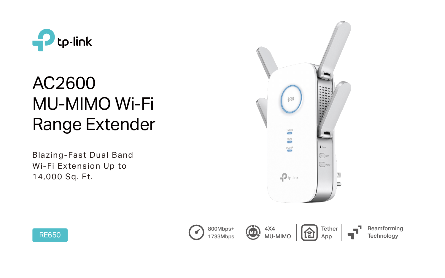

# AC2600 MU-MIMO Wi-Fi Range Extender



Blazing-Fast Dual Band Wi-Fi Extension Up to 14,000 Sq. Ft.

> Beamforming **Technology**





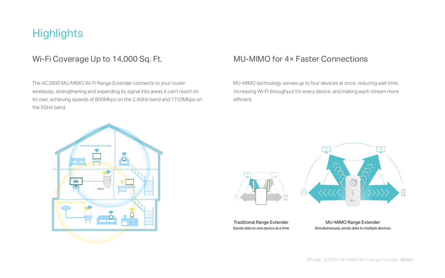## **Highlights**

## Wi-Fi Coverage Up to 14,000 Sq. Ft. MU-MIMO for 4× Faster Connections

 The AC2600 MU-MIMO Wi-Fi Range Extender connects to your router wirelessly, strengthening and expanding its signal into areas it can't reach on its own, achieving speeds of 800Mbps on the 2.4GHz band and 1733Mbps on the 5GHz band.

 MU-MIMO technology serves up to four devices at once, reducing wait time, increasing Wi-Fi throughput for every device, and making each stream more efficient.

> MU-MIMO Range Extender Simultaneously sends data to multiple devices

Traditional Range Extender Sends data to one device at a time



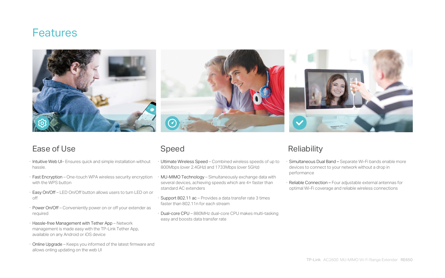- · Ultimate Wireless Speed Combined wireless speeds of up to 800Mbps (over 2.4GHz) and 1733Mbps (over 5GHz) Simultaneous Dual Band - Separate Wi-Fi bands enable more devices to connect to your network without a drop in performance
- · MU-MIMO Technology Simultaneously exchange data with several devices, achieving speeds which are 4× faster than standard AC extenders
- · Support 802.11 ac Provides a data transfer rate 3 times faster than 802.11n for each stream
- · Dual-core CPU 880MHz dual-core CPU makes multi-tasking easy and boosts data transfer rate

## **Reliability**

Reliable Connection - Four adjustable external antennas for optimal Wi-Fi coverage and reliable wireless connections

## Speed

## Features



- · Intuitive Web UI– Ensures quick and simple installation without hassle.
- · Fast Encryption One-touch WPA wireless security encryption with the WPS button
- · Easy On/Off LED On/Off button allows users to turn LED on or off
- · Power On/Off Conveniently power on or off your extender as required
- · Hassle-free Management with Tether App Network management is made easy with the TP-Link Tether App, available on any Android or iOS device
- · Online Upgrade Keeps you informed of the latest firmware and allows onling updating on the web UI